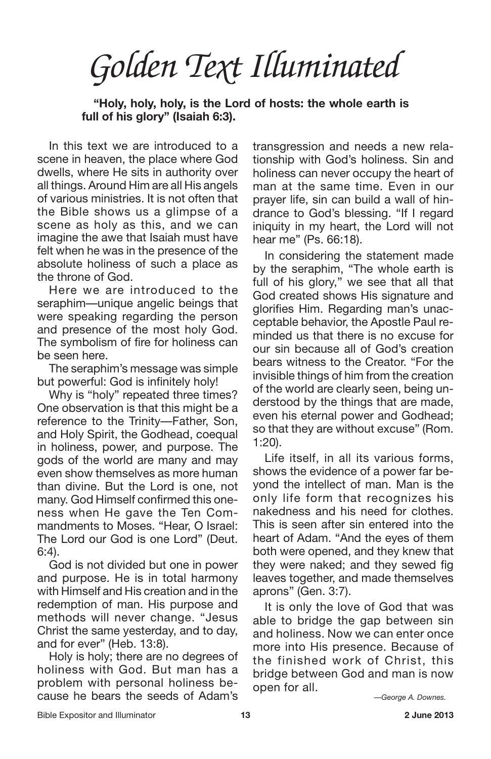*Golden Text Illuminated*

**"Holy, holy, holy, is the Lord of hosts: the whole earth is full of his glory" (Isaiah 6:3).**

In this text we are introduced to a scene in heaven, the place where God dwells, where He sits in authority over all things. Around Him are all His angels of various ministries. It is not often that the Bible shows us a glimpse of a scene as holy as this, and we can imagine the awe that Isaiah must have felt when he was in the presence of the absolute holiness of such a place as the throne of God.

Here we are introduced to the seraphim—unique angelic beings that were speaking regarding the person and presence of the most holy God. The symbolism of fire for holiness can be seen here.

The seraphim's message was simple but powerful: God is infinitely holy!

Why is "holy" repeated three times? One observation is that this might be a reference to the Trinity—Father, Son, and Holy Spirit, the Godhead, coequal in holiness, power, and purpose. The gods of the world are many and may even show themselves as more human than divine. But the Lord is one, not many. God Himself confirmed this oneness when He gave the Ten Commandments to Moses. "Hear, O Israel: The Lord our God is one Lord" (Deut. 6:4).

God is not divided but one in power and purpose. He is in total harmony with Himself and His creation and in the redemption of man. His purpose and methods will never change. "Jesus Christ the same yesterday, and to day, and for ever" (Heb. 13:8).

Holy is holy; there are no degrees of holiness with God. But man has a problem with personal holiness because he bears the seeds of Adam's transgression and needs a new relationship with God's holiness. Sin and holiness can never occupy the heart of man at the same time. Even in our prayer life, sin can build a wall of hindrance to God's blessing. "If I regard iniquity in my heart, the Lord will not hear me" (Ps. 66:18).

In considering the statement made by the seraphim, "The whole earth is full of his glory," we see that all that God created shows His signature and glorifies Him. Regarding man's unacceptable behavior, the Apostle Paul reminded us that there is no excuse for our sin because all of God's creation bears witness to the Creator. "For the invisible things of him from the creation of the world are clearly seen, being understood by the things that are made, even his eternal power and Godhead; so that they are without excuse" (Rom. 1:20).

Life itself, in all its various forms, shows the evidence of a power far beyond the intellect of man. Man is the only life form that recognizes his nakedness and his need for clothes. This is seen after sin entered into the heart of Adam. "And the eyes of them both were opened, and they knew that they were naked; and they sewed fig leaves together, and made themselves aprons" (Gen. 3:7).

It is only the love of God that was able to bridge the gap between sin and holiness. Now we can enter once more into His presence. Because of the finished work of Christ, this bridge between God and man is now open for all.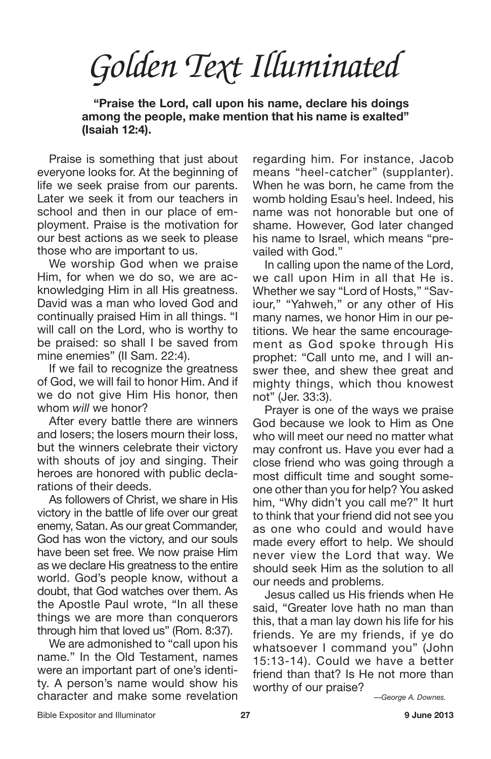**"Praise the Lord, call upon his name, declare his doings among the people, make mention that his name is exalted" (Isaiah 12:4).**

Praise is something that just about everyone looks for. At the beginning of life we seek praise from our parents. Later we seek it from our teachers in school and then in our place of employment. Praise is the motivation for our best actions as we seek to please those who are important to us.

We worship God when we praise Him, for when we do so, we are acknowledging Him in all His greatness. David was a man who loved God and continually praised Him in all things. "I will call on the Lord, who is worthy to be praised: so shall I be saved from mine enemies" (II Sam. 22:4).

If we fail to recognize the greatness of God, we will fail to honor Him. And if we do not give Him His honor, then whom *will* we honor?

After every battle there are winners and losers; the losers mourn their loss, but the winners celebrate their victory with shouts of joy and singing. Their heroes are honored with public declarations of their deeds.

As followers of Christ, we share in His victory in the battle of life over our great enemy, Satan. As our great Commander, God has won the victory, and our souls have been set free. We now praise Him as we declare His greatness to the entire world. God's people know, without a doubt, that God watches over them. As the Apostle Paul wrote, "In all these things we are more than conquerors through him that loved us" (Rom. 8:37).

We are admonished to "call upon his name." In the Old Testament, names were an important part of one's identity. A person's name would show his character and make some revelation

regarding him. For instance, Jacob means "heel-catcher" (supplanter). When he was born, he came from the womb holding Esau's heel. Indeed, his name was not honorable but one of shame. However, God later changed his name to Israel, which means "prevailed with God."

In calling upon the name of the Lord, we call upon Him in all that He is. Whether we say "Lord of Hosts," "Saviour," "Yahweh," or any other of His many names, we honor Him in our petitions. We hear the same encouragement as God spoke through His prophet: "Call unto me, and I will answer thee, and shew thee great and mighty things, which thou knowest not" (Jer. 33:3).

Prayer is one of the ways we praise God because we look to Him as One who will meet our need no matter what may confront us. Have you ever had a close friend who was going through a most difficult time and sought someone other than you for help? You asked him, "Why didn't you call me?" It hurt to think that your friend did not see you as one who could and would have made every effort to help. We should never view the Lord that way. We should seek Him as the solution to all our needs and problems.

Jesus called us His friends when He said, "Greater love hath no man than this, that a man lay down his life for his friends. Ye are my friends, if ye do whatsoever I command you" (John 15:13-14). Could we have a better friend than that? Is He not more than worthy of our praise?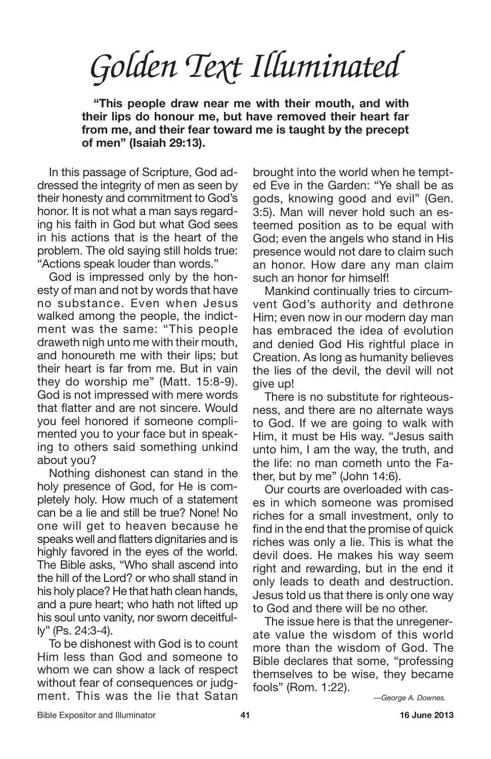**"This people draw near me with their mouth, and with their lips do honour me, but have removed their heart far from me, and their fear toward me is taught by the precept of men" (Isaiah 29:13).**

In this passage of Scripture, God addressed the integrity of men as seen by their honesty and commitment to God's honor. It is not what a man says regarding his faith in God but what God sees in his actions that is the heart of the problem. The old saying still holds true: "Actions speak louder than words."

God is impressed only by the honesty of man and not by words that have no substance. Even when Jesus walked among the people, the indictment was the same: "This people draweth nigh unto me with their mouth, and honoureth me with their lips; but their heart is far from me. But in vain they do worship me" (Matt. 15:8-9). God is not impressed with mere words that flatter and are not sincere. Would you feel honored if someone complimented you to your face but in speaking to others said something unkind about you?

Nothing dishonest can stand in the holy presence of God, for He is completely holy. How much of a statement can be a lie and still be true? None! No one will get to heaven because he speaks well and flatters dignitaries and is highly favored in the eyes of the world. The Bible asks, "Who shall ascend into the hill of the Lord? or who shall stand in his holy place? He that hath clean hands, and a pure heart; who hath not lifted up his soul unto vanity, nor sworn deceitfully" (Ps. 24:3-4).

To be dishonest with God is to count Him less than God and someone to whom we can show a lack of respect without fear of consequences or judgment. This was the lie that Satan brought into the world when he tempted Eve in the Garden: "Ye shall be as gods, knowing good and evil" (Gen. 3:5). Man will never hold such an esteemed position as to be equal with God; even the angels who stand in His presence would not dare to claim such an honor. How dare any man claim such an honor for himself!

Mankind continually tries to circumvent God's authority and dethrone Him; even now in our modern day man has embraced the idea of evolution and denied God His rightful place in Creation. As long as humanity believes the lies of the devil, the devil will not give up!

There is no substitute for righteousness, and there are no alternate ways to God. If we are going to walk with Him, it must be His way. "Jesus saith unto him, I am the way, the truth, and the life: no man cometh unto the Father, but by me" (John 14:6).

Our courts are overloaded with cases in which someone was promised riches for a small investment, only to find in the end that the promise of quick riches was only a lie. This is what the devil does. He makes his way seem right and rewarding, but in the end it only leads to death and destruction. Jesus told us that there is only one way to God and there will be no other.

The issue here is that the unregenerate value the wisdom of this world more than the wisdom of God. The Bible declares that some, "professing themselves to be wise, they became fools" (Rom. 1:22).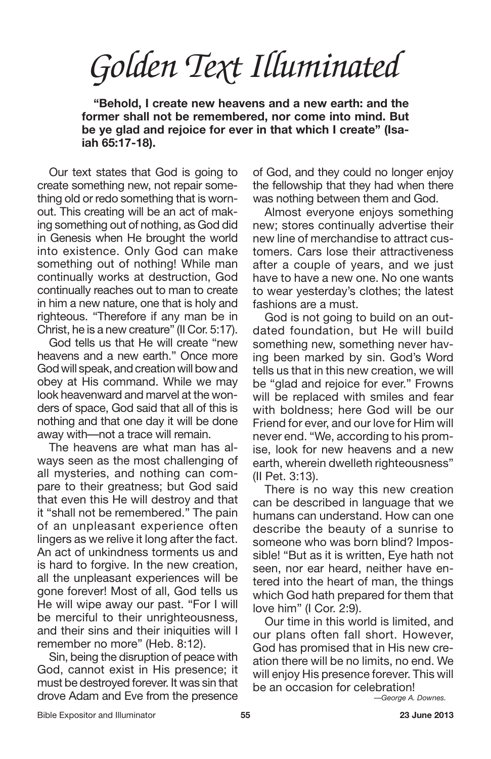**"Behold, I create new heavens and a new earth: and the former shall not be remembered, nor come into mind. But be ye glad and rejoice for ever in that which I create" (Isaiah 65:17-18).**

Our text states that God is going to create something new, not repair something old or redo something that is wornout. This creating will be an act of making something out of nothing, as God did in Genesis when He brought the world into existence. Only God can make something out of nothing! While man continually works at destruction, God continually reaches out to man to create in him a new nature, one that is holy and righteous. "Therefore if any man be in Christ, he is a new creature" (II Cor. 5:17).

God tells us that He will create "new heavens and a new earth." Once more God will speak, and creation will bow and obey at His command. While we may look heavenward and marvel at the wonders of space, God said that all of this is nothing and that one day it will be done away with—not a trace will remain.

The heavens are what man has always seen as the most challenging of all mysteries, and nothing can compare to their greatness; but God said that even this He will destroy and that it "shall not be remembered." The pain of an unpleasant experience often lingers as we relive it long after the fact. An act of unkindness torments us and is hard to forgive. In the new creation, all the unpleasant experiences will be gone forever! Most of all, God tells us He will wipe away our past. "For I will be merciful to their unrighteousness, and their sins and their iniquities will I remember no more" (Heb. 8:12).

Sin, being the disruption of peace with God, cannot exist in His presence; it must be destroyed forever. It was sin that drove Adam and Eve from the presence of God, and they could no longer enjoy the fellowship that they had when there was nothing between them and God.

Almost everyone enjoys something new; stores continually advertise their new line of merchandise to attract customers. Cars lose their attractiveness after a couple of years, and we just have to have a new one. No one wants to wear yesterday's clothes; the latest fashions are a must.

God is not going to build on an outdated foundation, but He will build something new, something never having been marked by sin. God's Word tells us that in this new creation, we will be "glad and rejoice for ever." Frowns will be replaced with smiles and fear with boldness; here God will be our Friend for ever, and our love for Him will never end. "We, according to his promise, look for new heavens and a new earth, wherein dwelleth righteousness" (II Pet. 3:13).

There is no way this new creation can be described in language that we humans can understand. How can one describe the beauty of a sunrise to someone who was born blind? Impossible! "But as it is written, Eye hath not seen, nor ear heard, neither have entered into the heart of man, the things which God hath prepared for them that love him" (I Cor. 2:9).

Our time in this world is limited, and our plans often fall short. However, God has promised that in His new creation there will be no limits, no end. We will enjoy His presence forever. This will be an occasion for celebration!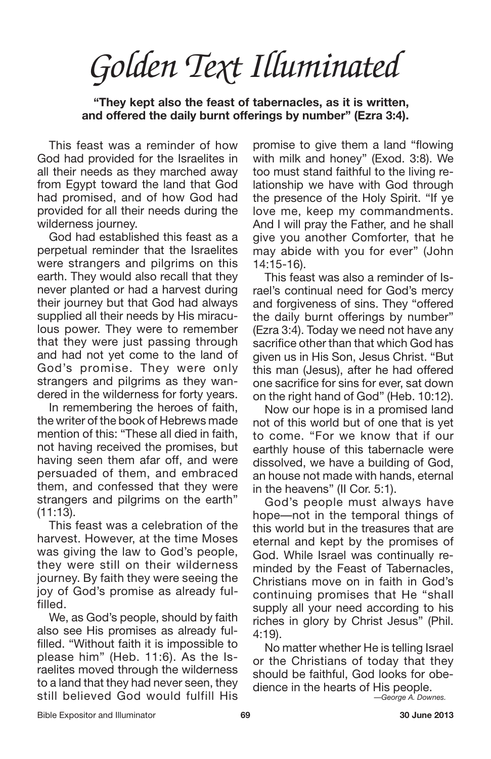*Golden Text Illuminated*

**"They kept also the feast of tabernacles, as it is written, and offered the daily burnt offerings by number" (Ezra 3:4).**

This feast was a reminder of how God had provided for the Israelites in all their needs as they marched away from Egypt toward the land that God had promised, and of how God had provided for all their needs during the wilderness journey.

God had established this feast as a perpetual reminder that the Israelites were strangers and pilgrims on this earth. They would also recall that they never planted or had a harvest during their journey but that God had always supplied all their needs by His miraculous power. They were to remember that they were just passing through and had not yet come to the land of God's promise. They were only strangers and pilgrims as they wandered in the wilderness for forty years.

In remembering the heroes of faith, the writer of the book of Hebrews made mention of this: "These all died in faith, not having received the promises, but having seen them afar off, and were persuaded of them, and embraced them, and confessed that they were strangers and pilgrims on the earth"  $(11:13)$ .

This feast was a celebration of the harvest. However, at the time Moses was giving the law to God's people, they were still on their wilderness journey. By faith they were seeing the joy of God's promise as already fulfilled.

We, as God's people, should by faith also see His promises as already fulfilled. "Without faith it is impossible to please him" (Heb. 11:6). As the Israelites moved through the wilderness to a land that they had never seen, they still believed God would fulfill His promise to give them a land "flowing with milk and honey" (Exod. 3:8). We too must stand faithful to the living relationship we have with God through the presence of the Holy Spirit. "If ye love me, keep my commandments. And I will pray the Father, and he shall give you another Comforter, that he may abide with you for ever" (John 14:15-16).

This feast was also a reminder of Israel's continual need for God's mercy and forgiveness of sins. They "offered the daily burnt offerings by number" (Ezra 3:4). Today we need not have any sacrifice other than that which God has given us in His Son, Jesus Christ. "But this man (Jesus), after he had offered one sacrifice for sins for ever, sat down on the right hand of God" (Heb. 10:12).

Now our hope is in a promised land not of this world but of one that is yet to come. "For we know that if our earthly house of this tabernacle were dissolved, we have a building of God, an house not made with hands, eternal in the heavens" (II Cor. 5:1).

God's people must always have hope—not in the temporal things of this world but in the treasures that are eternal and kept by the promises of God. While Israel was continually reminded by the Feast of Tabernacles, Christians move on in faith in God's continuing promises that He "shall supply all your need according to his riches in glory by Christ Jesus" (Phil. 4:19).

No matter whether He is telling Israel or the Christians of today that they should be faithful, God looks for obedience in the hearts of His people.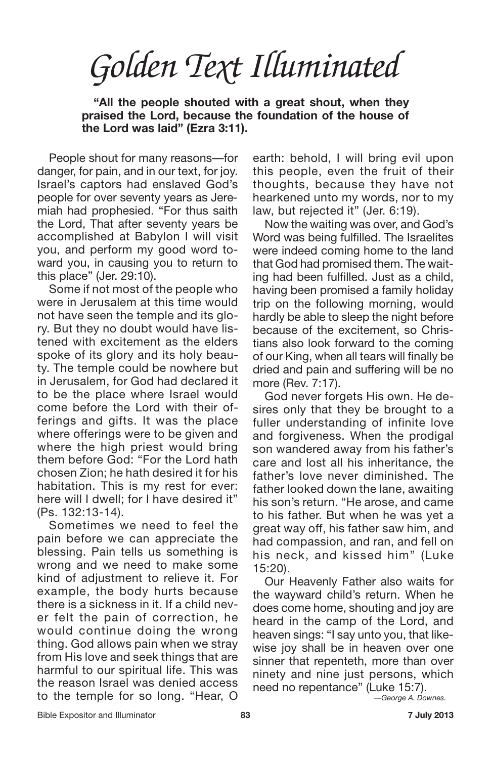**"All the people shouted with a great shout, when they praised the Lord, because the foundation of the house of the Lord was laid" (Ezra 3:11).**

People shout for many reasons—for danger, for pain, and in our text, for joy. Israel's captors had enslaved God's people for over seventy years as Jeremiah had prophesied. "For thus saith the Lord, That after seventy years be accomplished at Babylon I will visit you, and perform my good word toward you, in causing you to return to this place" (Jer. 29:10).

Some if not most of the people who were in Jerusalem at this time would not have seen the temple and its glory. But they no doubt would have listened with excitement as the elders spoke of its glory and its holy beauty. The temple could be nowhere but in Jerusalem, for God had declared it to be the place where Israel would come before the Lord with their offerings and gifts. It was the place where offerings were to be given and where the high priest would bring them before God: "For the Lord hath chosen Zion; he hath desired it for his habitation. This is my rest for ever: here will I dwell; for I have desired it" (Ps. 132:13-14).

Sometimes we need to feel the pain before we can appreciate the blessing. Pain tells us something is wrong and we need to make some kind of adjustment to relieve it. For example, the body hurts because there is a sickness in it. If a child never felt the pain of correction, he would continue doing the wrong thing. God allows pain when we stray from His love and seek things that are harmful to our spiritual life. This was the reason Israel was denied access to the temple for so long. "Hear, O

earth: behold, I will bring evil upon this people, even the fruit of their thoughts, because they have not hearkened unto my words, nor to my law, but rejected it" (Jer. 6:19).

Now the waiting was over, and God's Word was being fulfilled. The Israelites were indeed coming home to the land that God had promised them. The waiting had been fulfilled. Just as a child, having been promised a family holiday trip on the following morning, would hardly be able to sleep the night before because of the excitement, so Christians also look forward to the coming of our King, when all tears will finally be dried and pain and suffering will be no more (Rev. 7:17).

God never forgets His own. He desires only that they be brought to a fuller understanding of infinite love and forgiveness. When the prodigal son wandered away from his father's care and lost all his inheritance, the father's love never diminished. The father looked down the lane, awaiting his son's return. "He arose, and came to his father. But when he was yet a great way off, his father saw him, and had compassion, and ran, and fell on his neck, and kissed him" (Luke 15:20).

Our Heavenly Father also waits for the wayward child's return. When he does come home, shouting and joy are heard in the camp of the Lord, and heaven sings: "I say unto you, that likewise joy shall be in heaven over one sinner that repenteth, more than over ninety and nine just persons, which need no repentance" (Luke 15:7).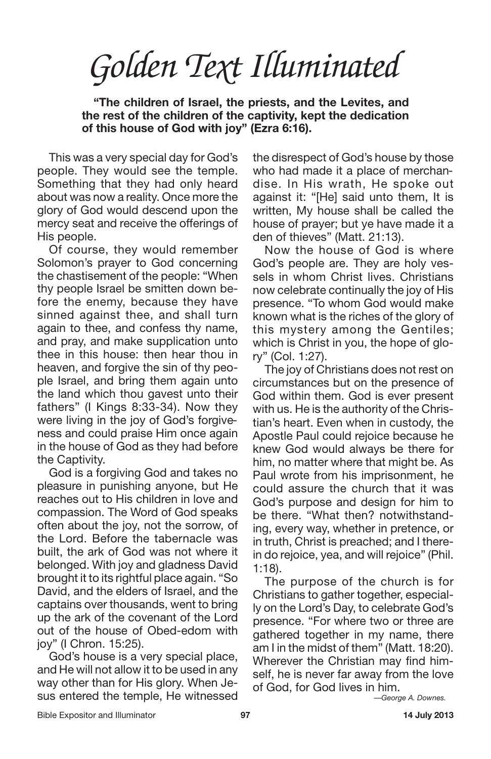*Golden Text Illuminated*

**"The children of Israel, the priests, and the Levites, and the rest of the children of the captivity, kept the dedication of this house of God with joy" (Ezra 6:16).**

This was a very special day for God's people. They would see the temple. Something that they had only heard about was now a reality. Once more the glory of God would descend upon the mercy seat and receive the offerings of His people.

Of course, they would remember Solomon's prayer to God concerning the chastisement of the people: "When thy people Israel be smitten down before the enemy, because they have sinned against thee, and shall turn again to thee, and confess thy name, and pray, and make supplication unto thee in this house: then hear thou in heaven, and forgive the sin of thy people Israel, and bring them again unto the land which thou gavest unto their fathers" (I Kings 8:33-34). Now they were living in the joy of God's forgiveness and could praise Him once again in the house of God as they had before the Captivity.

God is a forgiving God and takes no pleasure in punishing anyone, but He reaches out to His children in love and compassion. The Word of God speaks often about the joy, not the sorrow, of the Lord. Before the tabernacle was built, the ark of God was not where it belonged. With joy and gladness David brought it to its rightful place again. "So David, and the elders of Israel, and the captains over thousands, went to bring up the ark of the covenant of the Lord out of the house of Obed-edom with joy" (I Chron. 15:25).

God's house is a very special place, and He will not allow it to be used in any way other than for His glory. When Jesus entered the temple, He witnessed the disrespect of God's house by those who had made it a place of merchandise. In His wrath, He spoke out against it: "[He] said unto them, It is written, My house shall be called the house of prayer; but ye have made it a den of thieves" (Matt. 21:13).

Now the house of God is where God's people are. They are holy vessels in whom Christ lives. Christians now celebrate continually the joy of His presence. "To whom God would make known what is the riches of the glory of this mystery among the Gentiles; which is Christ in you, the hope of glory" (Col. 1:27).

The joy of Christians does not rest on circumstances but on the presence of God within them. God is ever present with us. He is the authority of the Christian's heart. Even when in custody, the Apostle Paul could rejoice because he knew God would always be there for him, no matter where that might be. As Paul wrote from his imprisonment, he could assure the church that it was God's purpose and design for him to be there. "What then? notwithstanding, every way, whether in pretence, or in truth, Christ is preached; and I therein do rejoice, yea, and will rejoice" (Phil. 1:18).

The purpose of the church is for Christians to gather together, especially on the Lord's Day, to celebrate God's presence. "For where two or three are gathered together in my name, there am I in the midst of them" (Matt. 18:20). Wherever the Christian may find himself, he is never far away from the love of God, for God lives in him.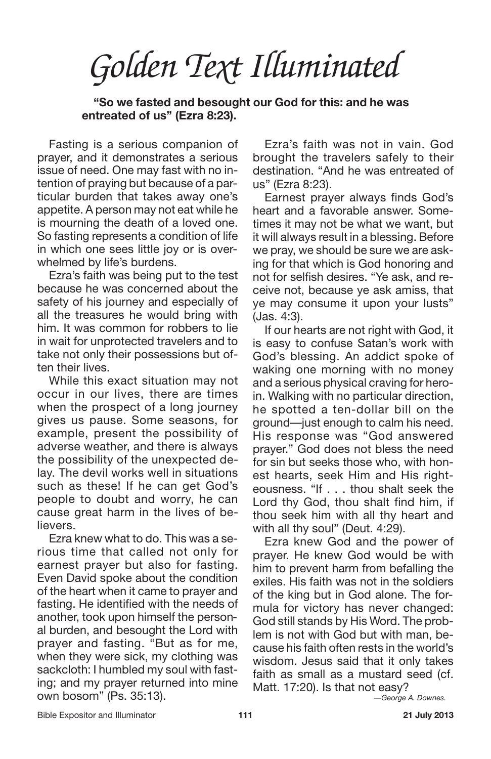*Golden Text Illuminated*

**"So we fasted and besought our God for this: and he was entreated of us" (Ezra 8:23).**

Fasting is a serious companion of prayer, and it demonstrates a serious issue of need. One may fast with no intention of praying but because of a particular burden that takes away one's appetite. A person may not eat while he is mourning the death of a loved one. So fasting represents a condition of life in which one sees little joy or is overwhelmed by life's burdens.

Ezra's faith was being put to the test because he was concerned about the safety of his journey and especially of all the treasures he would bring with him. It was common for robbers to lie in wait for unprotected travelers and to take not only their possessions but often their lives.

While this exact situation may not occur in our lives, there are times when the prospect of a long journey gives us pause. Some seasons, for example, present the possibility of adverse weather, and there is always the possibility of the unexpected delay. The devil works well in situations such as these! If he can get God's people to doubt and worry, he can cause great harm in the lives of believers.

Ezra knew what to do. This was a serious time that called not only for earnest prayer but also for fasting. Even David spoke about the condition of the heart when it came to prayer and fasting. He identified with the needs of another, took upon himself the personal burden, and besought the Lord with prayer and fasting. "But as for me, when they were sick, my clothing was sackcloth: I humbled my soul with fasting; and my prayer returned into mine own bosom" (Ps. 35:13).

Ezra's faith was not in vain. God brought the travelers safely to their destination. "And he was entreated of us" (Ezra 8:23).

Earnest prayer always finds God's heart and a favorable answer. Sometimes it may not be what we want, but it will always result in a blessing. Before we pray, we should be sure we are asking for that which is God honoring and not for selfish desires. "Ye ask, and receive not, because ye ask amiss, that ye may consume it upon your lusts" (Jas. 4:3).

If our hearts are not right with God, it is easy to confuse Satan's work with God's blessing. An addict spoke of waking one morning with no money and a serious physical craving for heroin. Walking with no particular direction, he spotted a ten-dollar bill on the ground—just enough to calm his need. His response was "God answered prayer." God does not bless the need for sin but seeks those who, with honest hearts, seek Him and His righteousness. "If . . . thou shalt seek the Lord thy God, thou shalt find him, if thou seek him with all thy heart and with all thy soul" (Deut. 4:29).

Ezra knew God and the power of prayer. He knew God would be with him to prevent harm from befalling the exiles. His faith was not in the soldiers of the king but in God alone. The formula for victory has never changed: God still stands by His Word. The problem is not with God but with man, because his faith often rests in the world's wisdom. Jesus said that it only takes faith as small as a mustard seed (cf. Matt. 17:20). Is that not easy?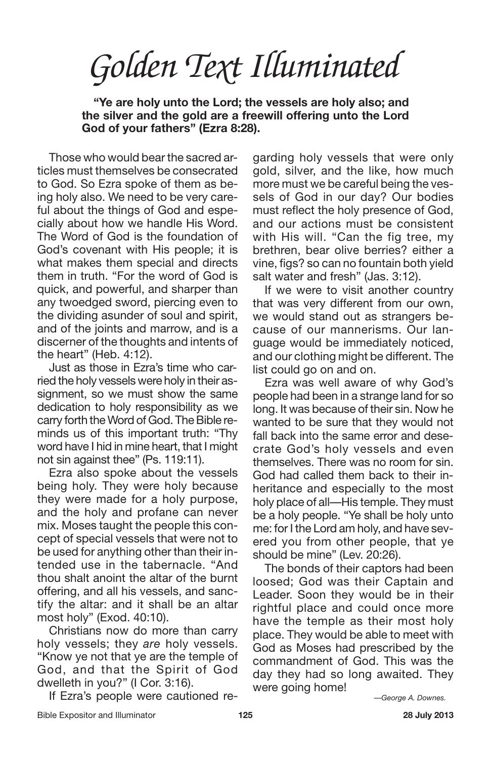*Golden Text Illuminated*

**"Ye are holy unto the Lord; the vessels are holy also; and the silver and the gold are a freewill offering unto the Lord God of your fathers" (Ezra 8:28).**

Those who would bear the sacred articles must themselves be consecrated to God. So Ezra spoke of them as being holy also. We need to be very careful about the things of God and especially about how we handle His Word. The Word of God is the foundation of God's covenant with His people; it is what makes them special and directs them in truth. "For the word of God is quick, and powerful, and sharper than any twoedged sword, piercing even to the dividing asunder of soul and spirit, and of the joints and marrow, and is a discerner of the thoughts and intents of the heart" (Heb. 4:12).

Just as those in Ezra's time who carried the holy vessels were holy in their assignment, so we must show the same dedication to holy responsibility as we carry forth the Word of God. The Bible reminds us of this important truth: "Thy word have I hid in mine heart, that I might not sin against thee" (Ps. 119:11).

Ezra also spoke about the vessels being holy. They were holy because they were made for a holy purpose, and the holy and profane can never mix. Moses taught the people this concept of special vessels that were not to be used for anything other than their intended use in the tabernacle. "And thou shalt anoint the altar of the burnt offering, and all his vessels, and sanctify the altar: and it shall be an altar most holy" (Exod. 40:10).

Christians now do more than carry holy vessels; they *are* holy vessels. "Know ye not that ye are the temple of God, and that the Spirit of God dwelleth in you?" (I Cor. 3:16).

If Ezra's people were cautioned re-

garding holy vessels that were only gold, silver, and the like, how much more must we be careful being the vessels of God in our day? Our bodies must reflect the holy presence of God, and our actions must be consistent with His will. "Can the fig tree, my brethren, bear olive berries? either a vine, figs? so can no fountain both yield salt water and fresh" (Jas. 3:12).

If we were to visit another country that was very different from our own, we would stand out as strangers because of our mannerisms. Our language would be immediately noticed, and our clothing might be different. The list could go on and on.

Ezra was well aware of why God's people had been in a strange land for so long. It was because of their sin. Now he wanted to be sure that they would not fall back into the same error and desecrate God's holy vessels and even themselves. There was no room for sin. God had called them back to their inheritance and especially to the most holy place of all—His temple. They must be a holy people. "Ye shall be holy unto me: for I the Lord am holy, and have severed you from other people, that ye should be mine" (Lev. 20:26).

The bonds of their captors had been loosed; God was their Captain and Leader. Soon they would be in their rightful place and could once more have the temple as their most holy place. They would be able to meet with God as Moses had prescribed by the commandment of God. This was the day they had so long awaited. They were going home!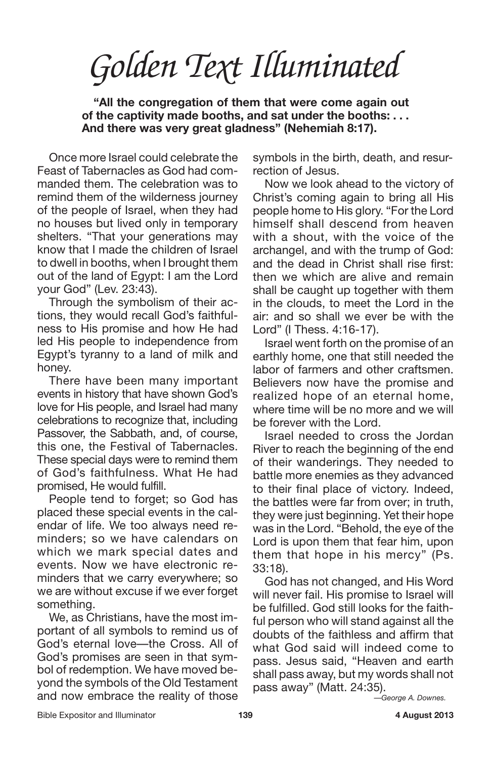**"All the congregation of them that were come again out of the captivity made booths, and sat under the booths: . . . And there was very great gladness" (Nehemiah 8:17).**

Once more Israel could celebrate the Feast of Tabernacles as God had commanded them. The celebration was to remind them of the wilderness journey of the people of Israel, when they had no houses but lived only in temporary shelters. "That your generations may know that I made the children of Israel to dwell in booths, when I brought them out of the land of Egypt: I am the Lord your God" (Lev. 23:43).

Through the symbolism of their actions, they would recall God's faithfulness to His promise and how He had led His people to independence from Egypt's tyranny to a land of milk and honey.

There have been many important events in history that have shown God's love for His people, and Israel had many celebrations to recognize that, including Passover, the Sabbath, and, of course, this one, the Festival of Tabernacles. These special days were to remind them of God's faithfulness. What He had promised, He would fulfill.

People tend to forget; so God has placed these special events in the calendar of life. We too always need reminders; so we have calendars on which we mark special dates and events. Now we have electronic reminders that we carry everywhere; so we are without excuse if we ever forget something.

We, as Christians, have the most important of all symbols to remind us of God's eternal love—the Cross. All of God's promises are seen in that symbol of redemption. We have moved beyond the symbols of the Old Testament and now embrace the reality of those

symbols in the birth, death, and resurrection of Jesus.

Now we look ahead to the victory of Christ's coming again to bring all His people home to His glory. "For the Lord himself shall descend from heaven with a shout, with the voice of the archangel, and with the trump of God: and the dead in Christ shall rise first: then we which are alive and remain shall be caught up together with them in the clouds, to meet the Lord in the air: and so shall we ever be with the Lord" (I Thess. 4:16-17).

Israel went forth on the promise of an earthly home, one that still needed the labor of farmers and other craftsmen. Believers now have the promise and realized hope of an eternal home, where time will be no more and we will be forever with the Lord.

Israel needed to cross the Jordan River to reach the beginning of the end of their wanderings. They needed to battle more enemies as they advanced to their final place of victory. Indeed, the battles were far from over; in truth, they were just beginning. Yet their hope was in the Lord. "Behold, the eye of the Lord is upon them that fear him, upon them that hope in his mercy" (Ps. 33:18).

God has not changed, and His Word will never fail. His promise to Israel will be fulfilled. God still looks for the faithful person who will stand against all the doubts of the faithless and affirm that what God said will indeed come to pass. Jesus said, "Heaven and earth shall pass away, but my words shall not pass away" (Matt. 24:35).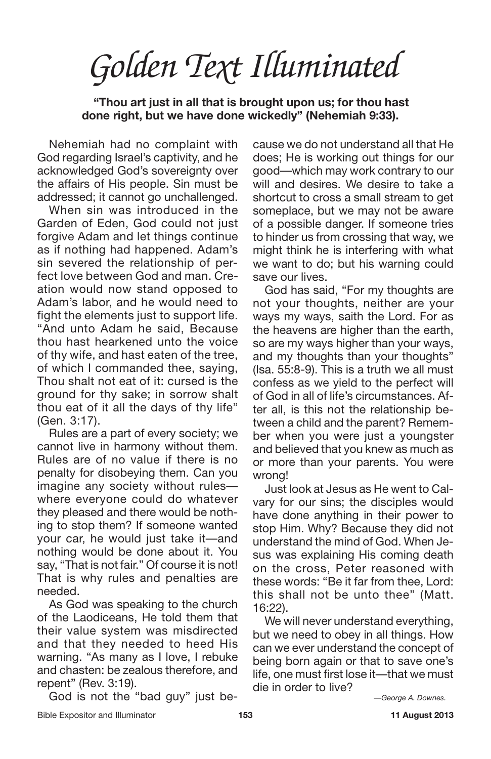*Golden Text Illuminated*

**"Thou art just in all that is brought upon us; for thou hast done right, but we have done wickedly" (Nehemiah 9:33).**

Nehemiah had no complaint with God regarding Israel's captivity, and he acknowledged God's sovereignty over the affairs of His people. Sin must be addressed; it cannot go unchallenged.

When sin was introduced in the Garden of Eden, God could not just forgive Adam and let things continue as if nothing had happened. Adam's sin severed the relationship of perfect love between God and man. Creation would now stand opposed to Adam's labor, and he would need to fight the elements just to support life. "And unto Adam he said, Because thou hast hearkened unto the voice of thy wife, and hast eaten of the tree, of which I commanded thee, saying, Thou shalt not eat of it: cursed is the ground for thy sake; in sorrow shalt thou eat of it all the days of thy life" (Gen. 3:17).

Rules are a part of every society; we cannot live in harmony without them. Rules are of no value if there is no penalty for disobeying them. Can you imagine any society without rules where everyone could do whatever they pleased and there would be nothing to stop them? If someone wanted your car, he would just take it—and nothing would be done about it. You say, "That is not fair." Of course it is not! That is why rules and penalties are needed.

As God was speaking to the church of the Laodiceans, He told them that their value system was misdirected and that they needed to heed His warning. "As many as I love, I rebuke and chasten: be zealous therefore, and repent" (Rev. 3:19).

God is not the "bad guy" just be-

cause we do not understand all that He does; He is working out things for our good—which may work contrary to our will and desires. We desire to take a shortcut to cross a small stream to get someplace, but we may not be aware of a possible danger. If someone tries to hinder us from crossing that way, we might think he is interfering with what we want to do; but his warning could save our lives.

God has said, "For my thoughts are not your thoughts, neither are your ways my ways, saith the Lord. For as the heavens are higher than the earth, so are my ways higher than your ways, and my thoughts than your thoughts" (Isa. 55:8-9). This is a truth we all must confess as we yield to the perfect will of God in all of life's circumstances. After all, is this not the relationship between a child and the parent? Remember when you were just a youngster and believed that you knew as much as or more than your parents. You were wrong!

Just look at Jesus as He went to Calvary for our sins; the disciples would have done anything in their power to stop Him. Why? Because they did not understand the mind of God. When Jesus was explaining His coming death on the cross, Peter reasoned with these words: "Be it far from thee, Lord: this shall not be unto thee" (Matt. 16:22).

We will never understand everything, but we need to obey in all things. How can we ever understand the concept of being born again or that to save one's life, one must first lose it—that we must die in order to live?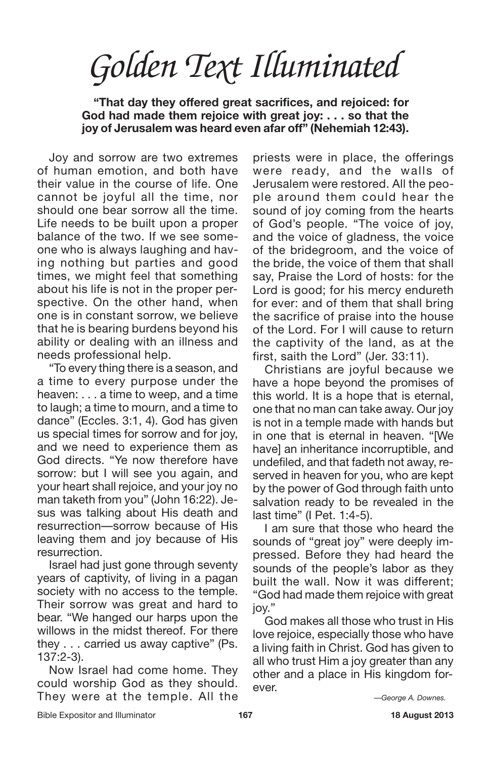**"That day they offered great sacrifices, and rejoiced: for God had made them rejoice with great joy: . . . so that the joy of Jerusalem was heard even afar off" (Nehemiah 12:43).**

Joy and sorrow are two extremes of human emotion, and both have their value in the course of life. One cannot be joyful all the time, nor should one bear sorrow all the time. Life needs to be built upon a proper balance of the two. If we see someone who is always laughing and having nothing but parties and good times, we might feel that something about his life is not in the proper perspective. On the other hand, when one is in constant sorrow, we believe that he is bearing burdens beyond his ability or dealing with an illness and needs professional help.

"To every thing there is a season, and a time to every purpose under the heaven: . . . a time to weep, and a time to laugh; a time to mourn, and a time to dance" (Eccles. 3:1, 4). God has given us special times for sorrow and for joy, and we need to experience them as God directs. "Ye now therefore have sorrow: but I will see you again, and your heart shall rejoice, and your joy no man taketh from you" (John 16:22). Jesus was talking about His death and resurrection—sorrow because of His leaving them and joy because of His resurrection.

Israel had just gone through seventy years of captivity, of living in a pagan society with no access to the temple. Their sorrow was great and hard to bear. "We hanged our harps upon the willows in the midst thereof. For there they . . . carried us away captive" (Ps. 137:2-3).

Now Israel had come home. They could worship God as they should. They were at the temple. All the

priests were in place, the offerings were ready, and the walls of Jerusalem were restored. All the people around them could hear the sound of joy coming from the hearts of God's people. "The voice of joy, and the voice of gladness, the voice of the bridegroom, and the voice of the bride, the voice of them that shall say, Praise the Lord of hosts: for the Lord is good; for his mercy endureth for ever: and of them that shall bring the sacrifice of praise into the house of the Lord. For I will cause to return the captivity of the land, as at the first, saith the Lord" (Jer. 33:11).

Christians are joyful because we have a hope beyond the promises of this world. It is a hope that is eternal, one that no man can take away. Our joy is not in a temple made with hands but in one that is eternal in heaven. "[We have] an inheritance incorruptible, and undefiled, and that fadeth not away, reserved in heaven for you, who are kept by the power of God through faith unto salvation ready to be revealed in the last time" (I Pet. 1:4-5).

I am sure that those who heard the sounds of "great joy" were deeply impressed. Before they had heard the sounds of the people's labor as they built the wall. Now it was different; "God had made them rejoice with great joy."

God makes all those who trust in His love rejoice, especially those who have a living faith in Christ. God has given to all who trust Him a joy greater than any other and a place in His kingdom forever.